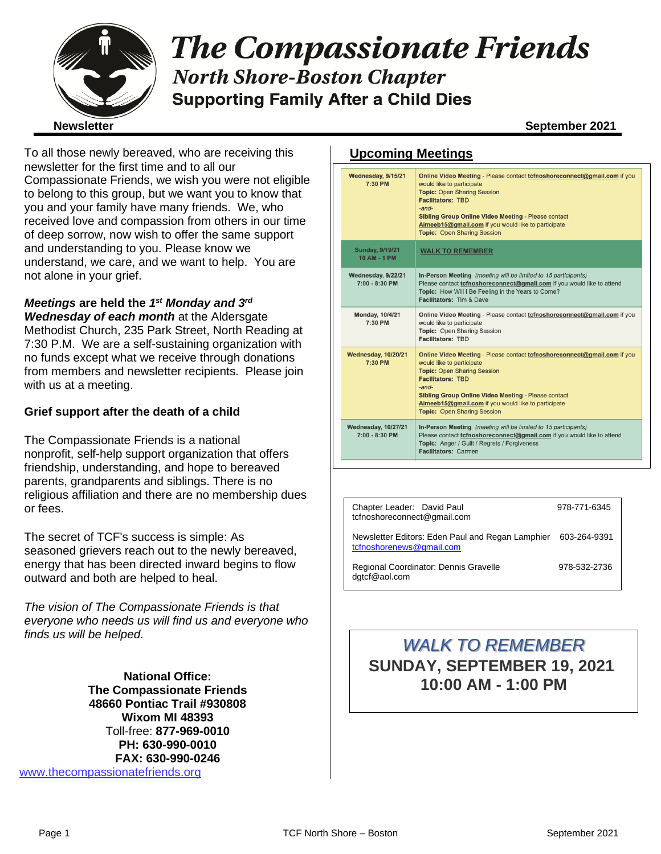

# **The Compassionate Friends North Shore-Boston Chapter Supporting Family After a Child Dies**

To all those newly bereaved, who are receiving this newsletter for the first time and to all our Compassionate Friends, we wish you were not eligible to belong to this group, but we want you to know that you and your family have many friends. We, who received love and compassion from others in our time of deep sorrow, now wish to offer the same support and understanding to you. Please know we understand, we care, and we want to help. You are not alone in your grief.

### *Meetings* **are held the** *1 st Monday and 3rd*

*Wednesday of each month* at the Aldersgate Methodist Church, 235 Park Street, North Reading at 7:30 P.M. We are a self-sustaining organization with no funds except what we receive through donations from members and newsletter recipients. Please join with us at a meeting.

#### **Grief support after the death of a child**

The Compassionate Friends is a national nonprofit, self-help support organization that offers friendship, understanding, and hope to bereaved parents, grandparents and siblings. There is no religious affiliation and there are no membership dues or fees.

The secret of TCF's success is simple: As seasoned grievers reach out to the newly bereaved, energy that has been directed inward begins to flow outward and both are helped to heal.

*The vision of The Compassionate Friends is that everyone who needs us will find us and everyone who finds us will be helped.*

**National Office: The Compassionate Friends 48660 Pontiac Trail #930808 Wixom MI 48393** Toll-free: **877-969-0010 PH: 630-990-0010 FAX: 630-990-0246** [www.thecompassionatefriends.org](http://www.thecompassionatefriends.org/)

#### **Upcoming Meetings**

| Wednesday, 9/15/21<br>7:30 PM                  | Online Video Meeting - Please contact tofnoshoreconnect@gmail.com if you<br>would like to participate<br><b>Topic: Open Sharing Session</b><br><b>Facilitators: TBD</b><br>$-$ and $-$<br><b>Sibling Group Online Video Meeting - Please contact</b><br>Aimeeb15@gmail.com if you would like to participate<br><b>Topic: Open Sharing Session</b> |
|------------------------------------------------|---------------------------------------------------------------------------------------------------------------------------------------------------------------------------------------------------------------------------------------------------------------------------------------------------------------------------------------------------|
| <b>Sunday, 9/19/21</b><br>10 AM - 1 PM         | <b>WALK TO REMEMBER</b>                                                                                                                                                                                                                                                                                                                           |
| Wednesday, 9/22/21<br>$7:00 - 8:30$ PM         | In-Person Meeting (meeting will be limited to 15 participants)<br>Please contact tcfnoshoreconnect@gmail.com if you would like to attend<br>Topic: How Will I Be Feeling in the Years to Come?<br>Facilitators: Tim & Dave                                                                                                                        |
| <b>Monday, 10/4/21</b><br>7:30 PM              | Online Video Meeting - Please contact tcfnoshoreconnect@gmail.com if you<br>would like to participate<br>Topic: Open Sharing Session<br>Facilitators: TBD                                                                                                                                                                                         |
| <b>Wednesday, 10/20/21</b><br>7:30 PM          | Online Video Meeting - Please contact tcfnoshoreconnect@gmail.com if you<br>would like to participate<br><b>Topic: Open Sharing Session</b><br><b>Facilitators: TBD</b><br>-and-<br>Sibling Group Online Video Meeting - Please contact<br>Aimeeb15@gmail.com if you would like to participate<br><b>Topic: Open Sharing Session</b>              |
| <b>Wednesday, 10/27/21</b><br>$7:00 - 8:30$ PM | In-Person Meeting (meeting will be limited to 15 participants)<br>Please contact tcfnoshoreconnect@gmail.com if you would like to attend<br>Topic: Anger / Guilt / Regrets / Forgiveness<br><b>Facilitators: Carmen</b>                                                                                                                           |
|                                                |                                                                                                                                                                                                                                                                                                                                                   |

| Chapter Leader: David Paul<br>tcfnoshoreconnect@gmail.com                                 | 978-771-6345 |
|-------------------------------------------------------------------------------------------|--------------|
| Newsletter Editors: Eden Paul and Regan Lamphier 603-264-9391<br>tcfnoshorenews@gmail.com |              |
| Regional Coordinator: Dennis Gravelle<br>dgtcf@aol.com                                    | 978-532-2736 |

## *WALK TO REMEMBER* **SUNDAY, SEPTEMBER 19, 2021 10:00 AM - 1:00 PM**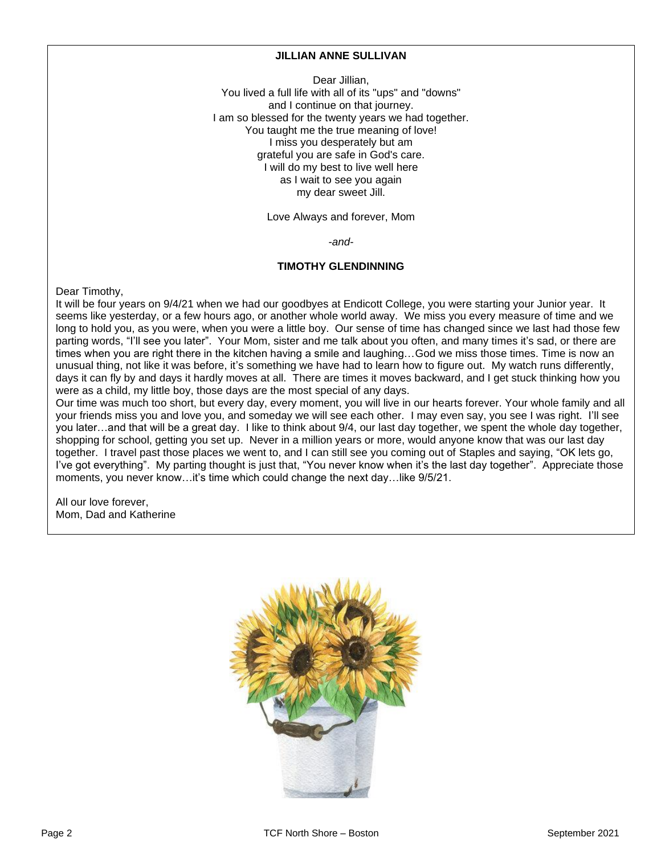#### **JILLIAN ANNE SULLIVAN**

Dear Jillian, You lived a full life with all of its "ups" and "downs" and I continue on that journey. I am so blessed for the twenty years we had together. You taught me the true meaning of love! I miss you desperately but am grateful you are safe in God's care. I will do my best to live well here as I wait to see you again my dear sweet Jill.

Love Always and forever, Mom

*-and-*

#### **TIMOTHY GLENDINNING**

Dear Timothy,

It will be four years on 9/4/21 when we had our goodbyes at Endicott College, you were starting your Junior year. It seems like yesterday, or a few hours ago, or another whole world away. We miss you every measure of time and we long to hold you, as you were, when you were a little boy. Our sense of time has changed since we last had those few parting words, "I'll see you later". Your Mom, sister and me talk about you often, and many times it's sad, or there are times when you are right there in the kitchen having a smile and laughing…God we miss those times. Time is now an unusual thing, not like it was before, it's something we have had to learn how to figure out. My watch runs differently, days it can fly by and days it hardly moves at all. There are times it moves backward, and I get stuck thinking how you were as a child, my little boy, those days are the most special of any days.

Our time was much too short, but every day, every moment, you will live in our hearts forever. Your whole family and all your friends miss you and love you, and someday we will see each other. I may even say, you see I was right. I'll see you later…and that will be a great day. I like to think about 9/4, our last day together, we spent the whole day together, shopping for school, getting you set up. Never in a million years or more, would anyone know that was our last day together. I travel past those places we went to, and I can still see you coming out of Staples and saying, "OK lets go, I've got everything". My parting thought is just that, "You never know when it's the last day together". Appreciate those moments, you never know…it's time which could change the next day…like 9/5/21.

All our love forever, Mom, Dad and Katherine

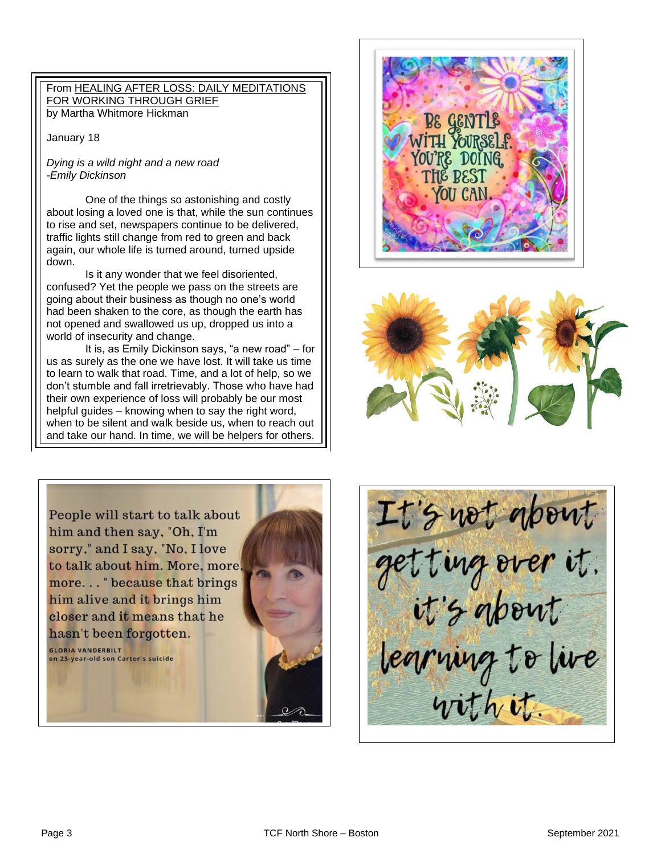#### From HEALING AFTER LOSS: DAILY MEDITATIONS FOR WORKING THROUGH GRIEF by Martha Whitmore Hickman

January 18

#### *Dying is a wild night and a new road -Emily Dickinson*

 One of the things so astonishing and costly about losing a loved one is that, while the sun continues<br>to rise and est, now pensons continue to be delivered  traffic lights still change from red to green and back again, our whole life is turned around, turned upside<br>down. to rise and set, newspapers continue to be delivered, down.

Is it any wonder that we feel disoriented,<br>d? Yet the people we pass on the streets going about their business as though no one's world<br>had been shaken to the eare, as though the earth had nad soon onality to the sore, as though the same into a confused? Yet the people we pass on the streets are had been shaken to the core, as though the earth has world of insecurity and change.

 It is, as Emily Dickinson says, "a new road" – for us as surely as the one we have lost. It will take us time<br>to learn to walk that road. Time, and a lot of help, so we don't stumble and fall irretrievably. Those who have had<br>their own experience of lose will probably be our meet  helpful guides – knowing when to say the right word, when to be silent and walk beside us, when to reach out<br>and take our hand. In time, we will be helpers for others. us as surely as the one we have lost. It will take us time their own experience of loss will probably be our most when to be silent and walk beside us, when to reach out







It's not about get ting over it. legruing to live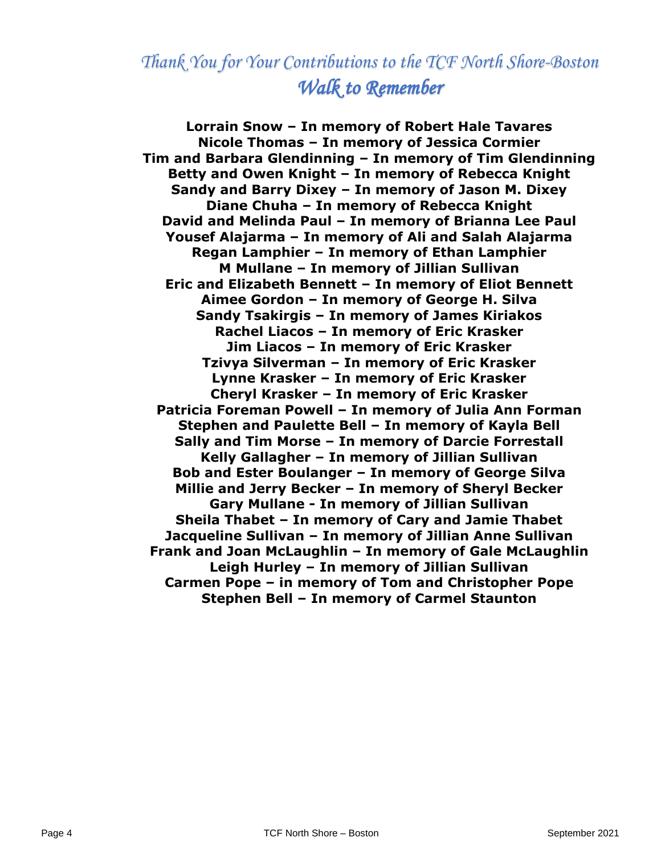## *Thank You for Your Contributions to the TCF North Shore-Boston Walk to Remember*

**Lorrain Snow – In memory of Robert Hale Tavares Nicole Thomas – In memory of Jessica Cormier Tim and Barbara Glendinning – In memory of Tim Glendinning Betty and Owen Knight – In memory of Rebecca Knight Sandy and Barry Dixey – In memory of Jason M. Dixey Diane Chuha – In memory of Rebecca Knight David and Melinda Paul – In memory of Brianna Lee Paul Yousef Alajarma – In memory of Ali and Salah Alajarma Regan Lamphier – In memory of Ethan Lamphier M Mullane – In memory of Jillian Sullivan Eric and Elizabeth Bennett – In memory of Eliot Bennett Aimee Gordon – In memory of George H. Silva Sandy Tsakirgis – In memory of James Kiriakos Rachel Liacos – In memory of Eric Krasker Jim Liacos – In memory of Eric Krasker Tzivya Silverman – In memory of Eric Krasker Lynne Krasker – In memory of Eric Krasker Cheryl Krasker – In memory of Eric Krasker Patricia Foreman Powell – In memory of Julia Ann Forman Stephen and Paulette Bell – In memory of Kayla Bell Sally and Tim Morse – In memory of Darcie Forrestall Kelly Gallagher – In memory of Jillian Sullivan Bob and Ester Boulanger – In memory of George Silva Millie and Jerry Becker – In memory of Sheryl Becker Gary Mullane - In memory of Jillian Sullivan Sheila Thabet – In memory of Cary and Jamie Thabet Jacqueline Sullivan – In memory of Jillian Anne Sullivan Frank and Joan McLaughlin – In memory of Gale McLaughlin Leigh Hurley – In memory of Jillian Sullivan Carmen Pope – in memory of Tom and Christopher Pope Stephen Bell – In memory of Carmel Staunton**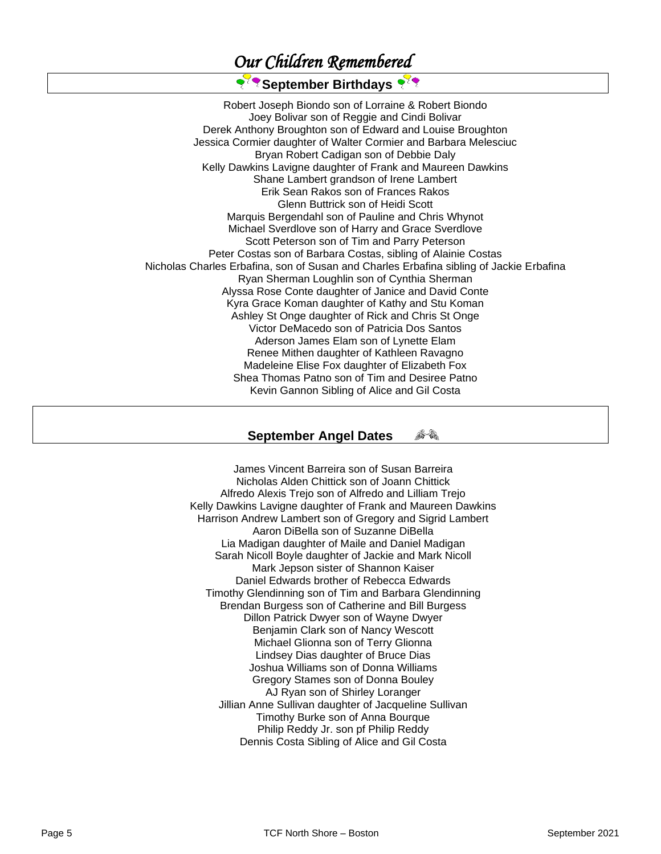## *Our Children Remembered*

## <sup>र</sup> र September Birthdays

Robert Joseph Biondo son of Lorraine & Robert Biondo Joey Bolivar son of Reggie and Cindi Bolivar Derek Anthony Broughton son of Edward and Louise Broughton Jessica Cormier daughter of Walter Cormier and Barbara Melesciuc Bryan Robert Cadigan son of Debbie Daly Kelly Dawkins Lavigne daughter of Frank and Maureen Dawkins Shane Lambert grandson of Irene Lambert Erik Sean Rakos son of Frances Rakos Glenn Buttrick son of Heidi Scott Marquis Bergendahl son of Pauline and Chris Whynot Michael Sverdlove son of Harry and Grace Sverdlove Scott Peterson son of Tim and Parry Peterson Peter Costas son of Barbara Costas, sibling of Alainie Costas Nicholas Charles Erbafina, son of Susan and Charles Erbafina sibling of Jackie Erbafina Ryan Sherman Loughlin son of Cynthia Sherman Alyssa Rose Conte daughter of Janice and David Conte Kyra Grace Koman daughter of Kathy and Stu Koman Ashley St Onge daughter of Rick and Chris St Onge Victor DeMacedo son of Patricia Dos Santos Aderson James Elam son of Lynette Elam Renee Mithen daughter of Kathleen Ravagno Madeleine Elise Fox daughter of Elizabeth Fox Shea Thomas Patno son of Tim and Desiree Patno Kevin Gannon Sibling of Alice and Gil Costa

#### **September Angel Dates**  6-a

James Vincent Barreira son of Susan Barreira Nicholas Alden Chittick son of Joann Chittick Alfredo Alexis Trejo son of Alfredo and Lilliam Trejo Kelly Dawkins Lavigne daughter of Frank and Maureen Dawkins Harrison Andrew Lambert son of Gregory and Sigrid Lambert Aaron DiBella son of Suzanne DiBella Lia Madigan daughter of Maile and Daniel Madigan Sarah Nicoll Boyle daughter of Jackie and Mark Nicoll Mark Jepson sister of Shannon Kaiser Daniel Edwards brother of Rebecca Edwards Timothy Glendinning son of Tim and Barbara Glendinning Brendan Burgess son of Catherine and Bill Burgess Dillon Patrick Dwyer son of Wayne Dwyer Benjamin Clark son of Nancy Wescott Michael Glionna son of Terry Glionna Lindsey Dias daughter of Bruce Dias Joshua Williams son of Donna Williams Gregory Stames son of Donna Bouley AJ Ryan son of Shirley Loranger Jillian Anne Sullivan daughter of Jacqueline Sullivan Timothy Burke son of Anna Bourque Philip Reddy Jr. son pf Philip Reddy Dennis Costa Sibling of Alice and Gil Costa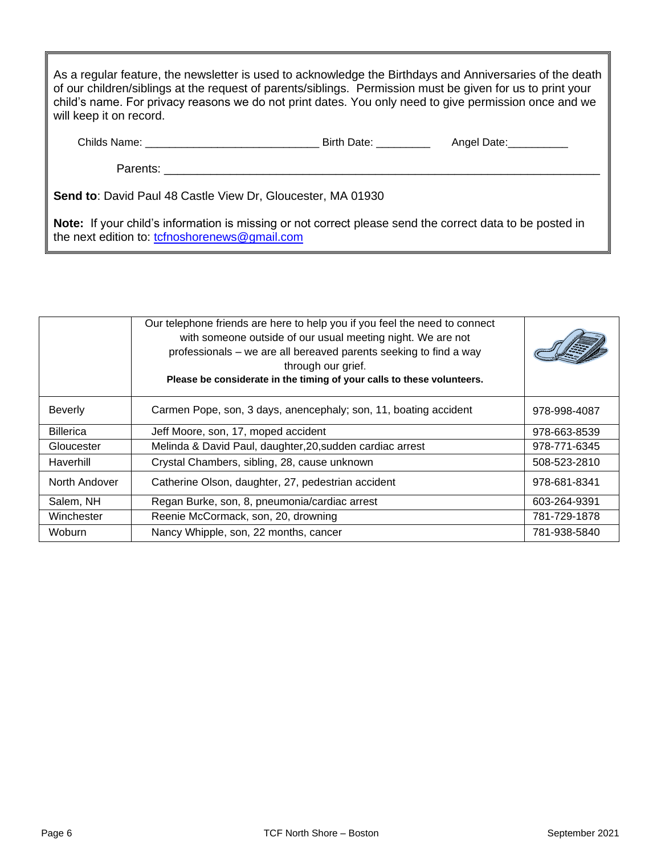| will keep it on record.                     | As a regular feature, the newsletter is used to acknowledge the Birthdays and Anniversaries of the death<br>of our children/siblings at the request of parents/siblings. Permission must be given for us to print your<br>child's name. For privacy reasons we do not print dates. You only need to give permission once and we |             |
|---------------------------------------------|---------------------------------------------------------------------------------------------------------------------------------------------------------------------------------------------------------------------------------------------------------------------------------------------------------------------------------|-------------|
| Childs Name: The Childs of the Childs Name: | Birth Date:                                                                                                                                                                                                                                                                                                                     | Angel Date: |
| Parents:                                    |                                                                                                                                                                                                                                                                                                                                 |             |

**Send to**: David Paul 48 Castle View Dr, Gloucester, MA 01930

**Note:** If your child's information is missing or not correct please send the correct data to be posted in the next edition to: [tcfnoshorenews@gmail.com](mailto:tcfnoshorenews@gmail.com)

|                  | Our telephone friends are here to help you if you feel the need to connect<br>with someone outside of our usual meeting night. We are not<br>professionals – we are all bereaved parents seeking to find a way<br>through our grief.<br>Please be considerate in the timing of your calls to these volunteers. |              |
|------------------|----------------------------------------------------------------------------------------------------------------------------------------------------------------------------------------------------------------------------------------------------------------------------------------------------------------|--------------|
| <b>Beverly</b>   | Carmen Pope, son, 3 days, anencephaly; son, 11, boating accident                                                                                                                                                                                                                                               | 978-998-4087 |
| <b>Billerica</b> | Jeff Moore, son, 17, moped accident                                                                                                                                                                                                                                                                            | 978-663-8539 |
| Gloucester       | Melinda & David Paul, daughter, 20, sudden cardiac arrest                                                                                                                                                                                                                                                      | 978-771-6345 |
| Haverhill        | Crystal Chambers, sibling, 28, cause unknown                                                                                                                                                                                                                                                                   | 508-523-2810 |
| North Andover    | Catherine Olson, daughter, 27, pedestrian accident                                                                                                                                                                                                                                                             | 978-681-8341 |
| Salem, NH        | Regan Burke, son, 8, pneumonia/cardiac arrest                                                                                                                                                                                                                                                                  | 603-264-9391 |
| Winchester       | Reenie McCormack, son, 20, drowning                                                                                                                                                                                                                                                                            | 781-729-1878 |
| Woburn           | Nancy Whipple, son, 22 months, cancer                                                                                                                                                                                                                                                                          | 781-938-5840 |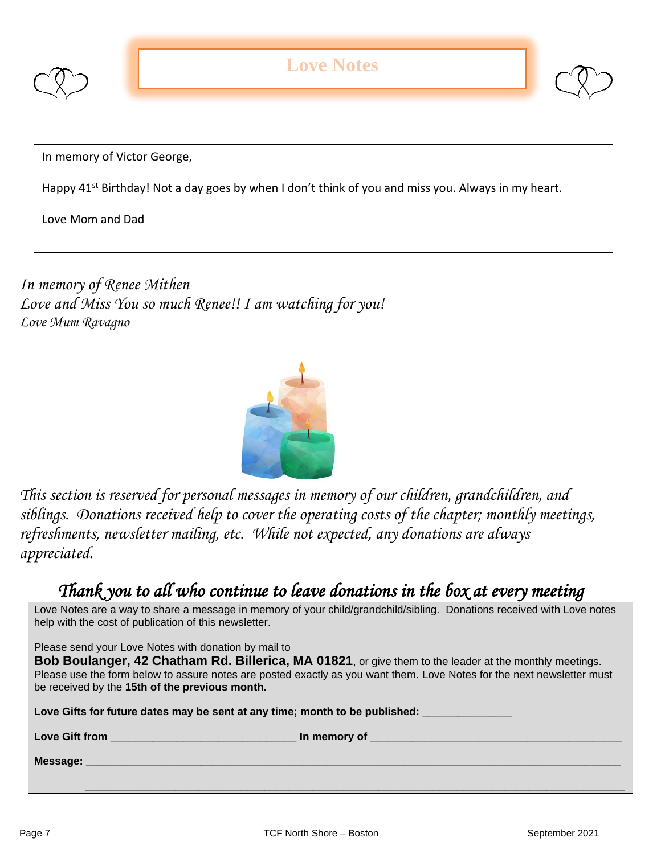



In memory of Victor George,

Happy 41<sup>st</sup> Birthday! Not a day goes by when I don't think of you and miss you. Always in my heart.

Love Mom and Dad

*In memory of Renee Mithen Love and Miss You so much Renee!! I am watching for you! Love Mum Ravagno*



*This section is reserved for personal messages in memory of our children, grandchildren, and siblings. Donations received help to cover the operating costs of the chapter; monthly meetings, refreshments, newsletter mailing, etc. While not expected, any donations are always appreciated.*

## *Thank you to all who continue to leave donations in the box at every meeting*

| Love Notes are a way to share a message in memory of your child/grandchild/sibling. Donations received with Love notes<br>help with the cost of publication of this newsletter.                                                                                                                                                            |  |  |  |
|--------------------------------------------------------------------------------------------------------------------------------------------------------------------------------------------------------------------------------------------------------------------------------------------------------------------------------------------|--|--|--|
| Please send your Love Notes with donation by mail to<br>Bob Boulanger, 42 Chatham Rd. Billerica, MA 01821, or give them to the leader at the monthly meetings.<br>Please use the form below to assure notes are posted exactly as you want them. Love Notes for the next newsletter must<br>be received by the 15th of the previous month. |  |  |  |
| Love Gifts for future dates may be sent at any time; month to be published:                                                                                                                                                                                                                                                                |  |  |  |
| Love Gift from <b>Exercise 2018</b><br><b>In memory of the contract of the contract of the contract of the contract of the contract of the contract of the contract of the contract of the contract of the contract of the contract of the contract of the contract of </b>                                                                |  |  |  |
|                                                                                                                                                                                                                                                                                                                                            |  |  |  |

 **\_\_\_\_\_\_\_\_\_\_\_\_\_\_\_\_\_\_\_\_\_\_\_\_\_\_\_\_\_\_\_\_\_\_\_\_\_\_\_\_\_\_\_\_\_\_\_\_\_\_\_\_\_\_\_\_\_\_\_\_\_\_\_\_\_\_\_\_\_\_\_\_\_\_\_\_\_\_\_\_\_\_\_\_\_\_\_\_\_\_**